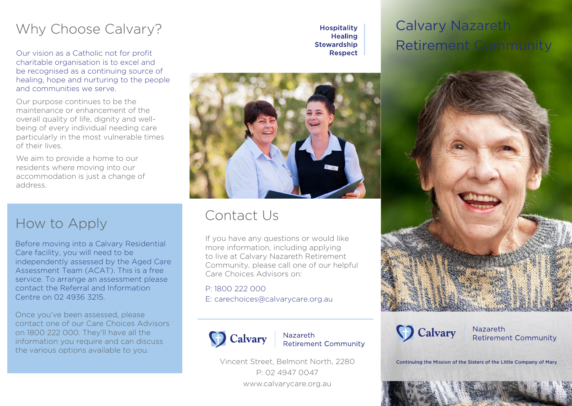## Why Choose Calvary?

Our vision as a Catholic not for profit charitable organisation is to excel and be recognised as a continuing source of healing, hope and nurturing to the people and communities we serve.

Our purpose continues to be the maintenance or enhancement of the overall quality of life, dignity and wellbeing of every individual needing care particularly in the most vulnerable times of their lives.

We aim to provide a home to our residents where moving into our accommodation is just a change of address.

## How to Apply

Before moving into a Calvary Residential Care facility, you will need to be independently assessed by the Aged Care Assessment Team (ACAT). This is a free service. To arrange an assessment please contact the Referral and Information Centre on 02 4936 3215.

Once you've been assessed, please contact one of our Care Choices Advisors on 1800 222 000. They'll have all the information you require and can discuss the various options available to you.

**Hospitality Healing Stewardship Respect** 

# Calvary Nazareth Retirement Community



## Contact Us

If you have any questions or would like more information, including applying to live at Calvary Nazareth Retirement Community, please call one of our helpful Care Choices Advisors on:

P: 1800 222 000 E: carechoices@calvarycare.org.au



**Nazareth Retirement Community** 

Vincent Street, Belmont North, 2280 P: 02 4947 0047 www.calvarycare.org.au





Nazareth **Retirement Community** 

Continuing the Mission of the Sisters of the Little Company of Mary